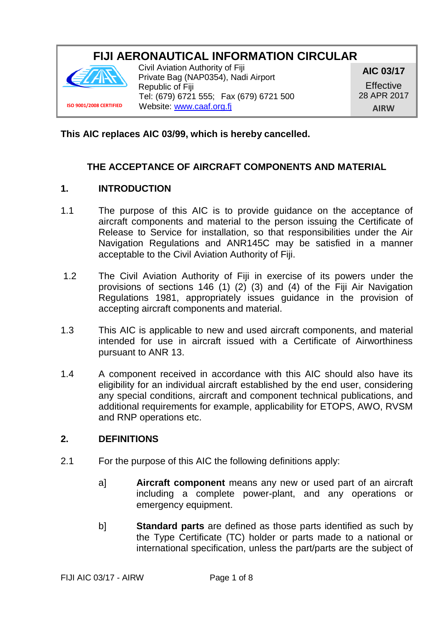# **FIJI AERONAUTICAL INFORMATION CIRCULAR**



Civil Aviation Authority of Fiji Private Bag (NAP0354), Nadi Airport Republic of Fiji Tel: (679) 6721 555; Fax (679) 6721 500 Website[: www.caaf.org.fj](http://www.caaf.org.fj/)

**AIC 03/17**

**Effective** 28 APR 2017 **AIRW**

## **This AIC replaces AIC 03/99, which is hereby cancelled.**

# **THE ACCEPTANCE OF AIRCRAFT COMPONENTS AND MATERIAL**

#### **1. INTRODUCTION**

- 1.1 The purpose of this AIC is to provide guidance on the acceptance of aircraft components and material to the person issuing the Certificate of Release to Service for installation, so that responsibilities under the Air Navigation Regulations and ANR145C may be satisfied in a manner acceptable to the Civil Aviation Authority of Fiji.
- 1.2 The Civil Aviation Authority of Fiji in exercise of its powers under the provisions of sections 146 (1) (2) (3) and (4) of the Fiji Air Navigation Regulations 1981, appropriately issues guidance in the provision of accepting aircraft components and material.
- 1.3 This AIC is applicable to new and used aircraft components, and material intended for use in aircraft issued with a Certificate of Airworthiness pursuant to ANR 13.
- 1.4 A component received in accordance with this AIC should also have its eligibility for an individual aircraft established by the end user, considering any special conditions, aircraft and component technical publications, and additional requirements for example, applicability for ETOPS, AWO, RVSM and RNP operations etc.

#### **2. DEFINITIONS**

- 2.1 For the purpose of this AIC the following definitions apply:
	- a] **Aircraft component** means any new or used part of an aircraft including a complete power-plant, and any operations or emergency equipment.
	- b] **Standard parts** are defined as those parts identified as such by the Type Certificate (TC) holder or parts made to a national or international specification, unless the part/parts are the subject of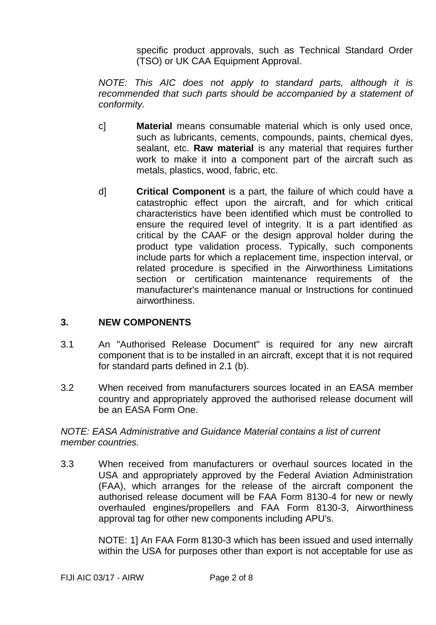specific product approvals, such as Technical Standard Order (TSO) or UK CAA Equipment Approval.

*NOTE: This AIC does not apply to standard parts, although it is*  recommended that such parts should be accompanied by a statement of *conformity.*

- c] **Material** means consumable material which is only used once, such as lubricants, cements, compounds, paints, chemical dyes, sealant, etc. **Raw material** is any material that requires further work to make it into a component part of the aircraft such as metals, plastics, wood, fabric, etc.
- d] **Critical Component** is a part, the failure of which could have a catastrophic effect upon the aircraft, and for which critical characteristics have been identified which must be controlled to ensure the required level of integrity. It is a part identified as critical by the CAAF or the design approval holder during the product type validation process. Typically, such components include parts for which a replacement time, inspection interval, or related procedure is specified in the Airworthiness Limitations section or certification maintenance requirements of the manufacturer's maintenance manual or Instructions for continued airworthiness.

## **3. NEW COMPONENTS**

- 3.1 An "Authorised Release Document" is required for any new aircraft component that is to be installed in an aircraft, except that it is not required for standard parts defined in 2.1 (b).
- 3.2 When received from manufacturers sources located in an EASA member country and appropriately approved the authorised release document will be an EASA Form One.

## *NOTE: EASA Administrative and Guidance Material contains a list of current member countries.*

3.3 When received from manufacturers or overhaul sources located in the USA and appropriately approved by the Federal Aviation Administration (FAA), which arranges for the release of the aircraft component the authorised release document will be FAA Form 8130-4 for new or newly overhauled engines/propellers and FAA Form 8130-3, Airworthiness approval tag for other new components including APU's.

> NOTE: 1] An FAA Form 8130-3 which has been issued and used internally within the USA for purposes other than export is not acceptable for use as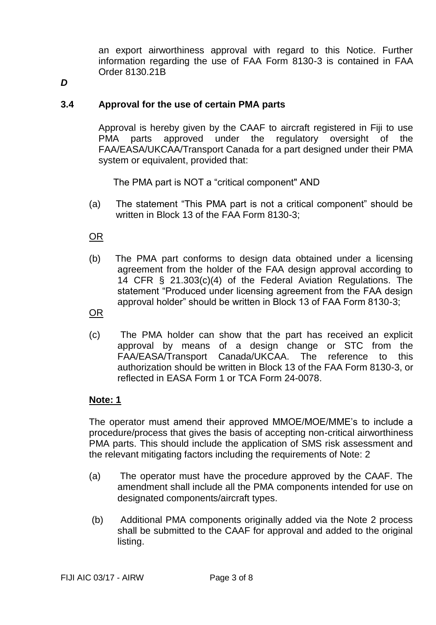an export airworthiness approval with regard to this Notice. Further information regarding the use of FAA Form 8130-3 is contained in FAA Order 8130.21B

*D*

## **3.4 Approval for the use of certain PMA parts**

Approval is hereby given by the CAAF to aircraft registered in Fiji to use PMA parts approved under the regulatory oversight of the FAA/EASA/UKCAA/Transport Canada for a part designed under their PMA system or equivalent, provided that:

The PMA part is NOT a "critical component" AND

(a) The statement "This PMA part is not a critical component" should be written in Block 13 of the FAA Form 8130-3;

OR

(b) The PMA part conforms to design data obtained under a licensing agreement from the holder of the FAA design approval according to 14 CFR § 21.303(c)(4) of the Federal Aviation Regulations. The statement "Produced under licensing agreement from the FAA design approval holder" should be written in Block 13 of FAA Form 8130-3;

OR

(c) The PMA holder can show that the part has received an explicit approval by means of a design change or STC from the FAA/EASA/Transport Canada/UKCAA. The reference to this authorization should be written in Block 13 of the FAA Form 8130-3, or reflected in EASA Form 1 or TCA Form 24-0078.

#### **Note: 1**

The operator must amend their approved MMOE/MOE/MME's to include a procedure/process that gives the basis of accepting non-critical airworthiness PMA parts. This should include the application of SMS risk assessment and the relevant mitigating factors including the requirements of Note: 2

- (a) The operator must have the procedure approved by the CAAF. The amendment shall include all the PMA components intended for use on designated components/aircraft types.
- (b) Additional PMA components originally added via the Note 2 process shall be submitted to the CAAF for approval and added to the original listing.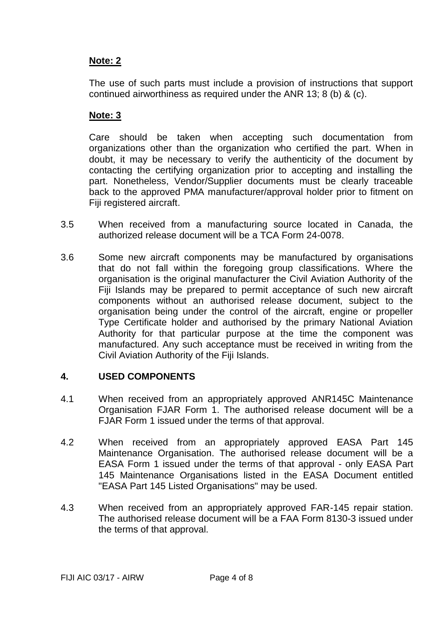## **Note: 2**

The use of such parts must include a provision of instructions that support continued airworthiness as required under the ANR 13; 8 (b) & (c).

# **Note: 3**

Care should be taken when accepting such documentation from organizations other than the organization who certified the part. When in doubt, it may be necessary to verify the authenticity of the document by contacting the certifying organization prior to accepting and installing the part. Nonetheless, Vendor/Supplier documents must be clearly traceable back to the approved PMA manufacturer/approval holder prior to fitment on Fiji registered aircraft.

- 3.5 When received from a manufacturing source located in Canada, the authorized release document will be a TCA Form 24-0078.
- 3.6 Some new aircraft components may be manufactured by organisations that do not fall within the foregoing group classifications. Where the organisation is the original manufacturer the Civil Aviation Authority of the Fiji Islands may be prepared to permit acceptance of such new aircraft components without an authorised release document, subject to the organisation being under the control of the aircraft, engine or propeller Type Certificate holder and authorised by the primary National Aviation Authority for that particular purpose at the time the component was manufactured. Any such acceptance must be received in writing from the Civil Aviation Authority of the Fiji Islands.

## **4. USED COMPONENTS**

- 4.1 When received from an appropriately approved ANR145C Maintenance Organisation FJAR Form 1. The authorised release document will be a FJAR Form 1 issued under the terms of that approval.
- 4.2 When received from an appropriately approved EASA Part 145 Maintenance Organisation. The authorised release document will be a EASA Form 1 issued under the terms of that approval - only EASA Part 145 Maintenance Organisations listed in the EASA Document entitled "EASA Part 145 Listed Organisations" may be used.
- 4.3 When received from an appropriately approved FAR-145 repair station. The authorised release document will be a FAA Form 8130-3 issued under the terms of that approval.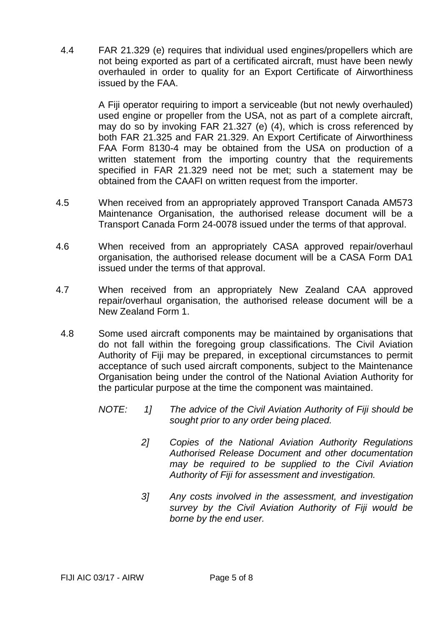4.4 FAR 21.329 (e) requires that individual used engines/propellers which are not being exported as part of a certificated aircraft, must have been newly overhauled in order to quality for an Export Certificate of Airworthiness issued by the FAA.

> A Fiji operator requiring to import a serviceable (but not newly overhauled) used engine or propeller from the USA, not as part of a complete aircraft, may do so by invoking FAR 21.327 (e) (4), which is cross referenced by both FAR 21.325 and FAR 21.329. An Export Certificate of Airworthiness FAA Form 8130-4 may be obtained from the USA on production of a written statement from the importing country that the requirements specified in FAR 21.329 need not be met; such a statement may be obtained from the CAAFI on written request from the importer.

- 4.5 When received from an appropriately approved Transport Canada AM573 Maintenance Organisation, the authorised release document will be a Transport Canada Form 24-0078 issued under the terms of that approval.
- 4.6 When received from an appropriately CASA approved repair/overhaul organisation, the authorised release document will be a CASA Form DA1 issued under the terms of that approval.
- 4.7 When received from an appropriately New Zealand CAA approved repair/overhaul organisation, the authorised release document will be a New Zealand Form 1.
- 4.8 Some used aircraft components may be maintained by organisations that do not fall within the foregoing group classifications. The Civil Aviation Authority of Fiji may be prepared, in exceptional circumstances to permit acceptance of such used aircraft components, subject to the Maintenance Organisation being under the control of the National Aviation Authority for the particular purpose at the time the component was maintained.
	- *NOTE: 1] The advice of the Civil Aviation Authority of Fiji should be sought prior to any order being placed.*
		- *2] Copies of the National Aviation Authority Regulations Authorised Release Document and other documentation may be required to be supplied to the Civil Aviation Authority of Fiji for assessment and investigation.*
		- *3] Any costs involved in the assessment, and investigation survey by the Civil Aviation Authority of Fiji would be borne by the end user.*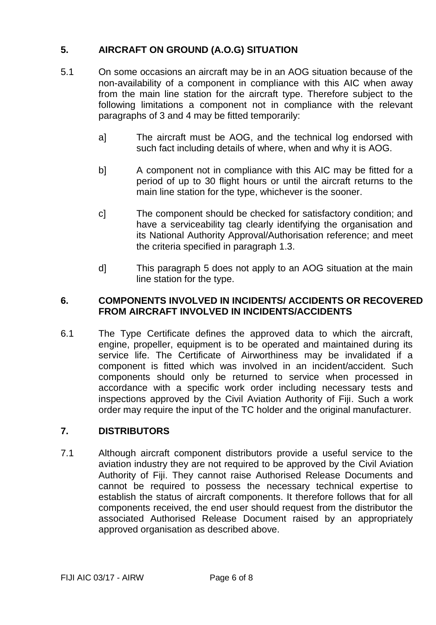# **5. AIRCRAFT ON GROUND (A.O.G) SITUATION**

- 5.1 On some occasions an aircraft may be in an AOG situation because of the non-availability of a component in compliance with this AIC when away from the main line station for the aircraft type. Therefore subject to the following limitations a component not in compliance with the relevant paragraphs of 3 and 4 may be fitted temporarily:
	- a] The aircraft must be AOG, and the technical log endorsed with such fact including details of where, when and why it is AOG.
	- b] A component not in compliance with this AIC may be fitted for a period of up to 30 flight hours or until the aircraft returns to the main line station for the type, whichever is the sooner.
	- c] The component should be checked for satisfactory condition; and have a serviceability tag clearly identifying the organisation and its National Authority Approval/Authorisation reference; and meet the criteria specified in paragraph 1.3.
	- d] This paragraph 5 does not apply to an AOG situation at the main line station for the type.

## **6. COMPONENTS INVOLVED IN INCIDENTS/ ACCIDENTS OR RECOVERED FROM AIRCRAFT INVOLVED IN INCIDENTS/ACCIDENTS**

6.1 The Type Certificate defines the approved data to which the aircraft, engine, propeller, equipment is to be operated and maintained during its service life. The Certificate of Airworthiness may be invalidated if a component is fitted which was involved in an incident/accident. Such components should only be returned to service when processed in accordance with a specific work order including necessary tests and inspections approved by the Civil Aviation Authority of Fiji. Such a work order may require the input of the TC holder and the original manufacturer.

# **7. DISTRIBUTORS**

7.1 Although aircraft component distributors provide a useful service to the aviation industry they are not required to be approved by the Civil Aviation Authority of Fiji. They cannot raise Authorised Release Documents and cannot be required to possess the necessary technical expertise to establish the status of aircraft components. It therefore follows that for all components received, the end user should request from the distributor the associated Authorised Release Document raised by an appropriately approved organisation as described above.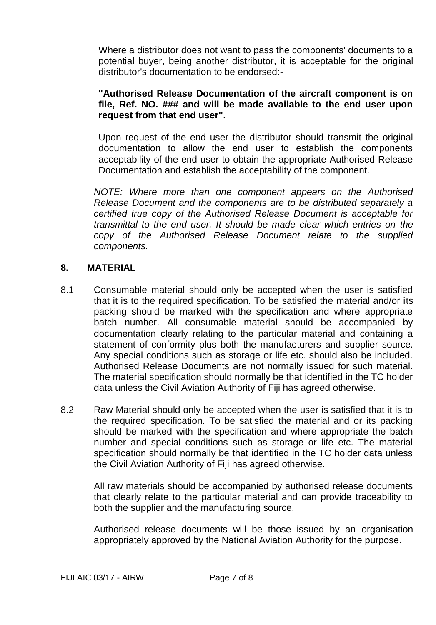Where a distributor does not want to pass the components' documents to a potential buyer, being another distributor, it is acceptable for the original distributor's documentation to be endorsed:-

## **"Authorised Release Documentation of the aircraft component is on file, Ref. NO. ### and will be made available to the end user upon request from that end user".**

Upon request of the end user the distributor should transmit the original documentation to allow the end user to establish the components acceptability of the end user to obtain the appropriate Authorised Release Documentation and establish the acceptability of the component.

*NOTE: Where more than one component appears on the Authorised Release Document and the components are to be distributed separately a certified true copy of the Authorised Release Document is acceptable for transmittal to the end user. It should be made clear which entries on the copy of the Authorised Release Document relate to the supplied components.*

#### **8. MATERIAL**

- 8.1 Consumable material should only be accepted when the user is satisfied that it is to the required specification. To be satisfied the material and/or its packing should be marked with the specification and where appropriate batch number. All consumable material should be accompanied by documentation clearly relating to the particular material and containing a statement of conformity plus both the manufacturers and supplier source. Any special conditions such as storage or life etc. should also be included. Authorised Release Documents are not normally issued for such material. The material specification should normally be that identified in the TC holder data unless the Civil Aviation Authority of Fiji has agreed otherwise.
- 8.2 Raw Material should only be accepted when the user is satisfied that it is to the required specification. To be satisfied the material and or its packing should be marked with the specification and where appropriate the batch number and special conditions such as storage or life etc. The material specification should normally be that identified in the TC holder data unless the Civil Aviation Authority of Fiji has agreed otherwise.

All raw materials should be accompanied by authorised release documents that clearly relate to the particular material and can provide traceability to both the supplier and the manufacturing source.

Authorised release documents will be those issued by an organisation appropriately approved by the National Aviation Authority for the purpose.